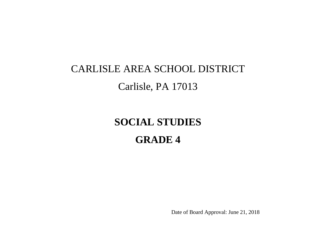# CARLISLE AREA SCHOOL DISTRICT Carlisle, PA 17013

# **SOCIAL STUDIES GRADE 4**

Date of Board Approval: June 21, 2018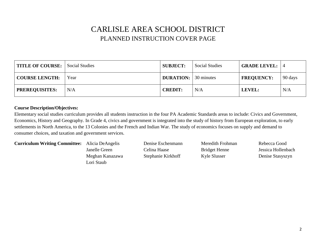#### CARLISLE AREA SCHOOL DISTRICT PLANNED INSTRUCTION COVER PAGE

| TITLE OF COURSE: Social Studies |      | <b>SUBJECT:</b>             | <b>Social Studies</b> | <b>GRADE LEVEL:</b> |         |
|---------------------------------|------|-----------------------------|-----------------------|---------------------|---------|
| <b>COURSE LENGTH:</b>           | Year | <b>DURATION:</b> 30 minutes |                       | <b>FREQUENCY:</b>   | 90 days |
| <b>PREREQUISITES:</b>           | N/A  | <b>CREDIT:</b>              | N/A                   | LEVEL:              | N/A     |

#### **Course Description/Objectives:**

Elementary social studies curriculum provides all students instruction in the four PA Academic Standards areas to include: Civics and Government, Economics, History and Geography. In Grade 4, civics and government is integrated into the study of history from European exploration, to early settlements in North America, to the 13 Colonies and the French and Indian War. The study of economics focuses on supply and demand to consumer choices, and taxation and government services.

#### **Curriculum Writing Committee:** Alicia DeAngelis Denise Eschenmann Meredith Frohman Rebecca Good

Meghan Kanazawa Stephanie Kirkhoff Kyle Slusser Denise Stasyszyn Lori Staub

Janelle Green Celina Haase Bridget Henne Jessica Hollenbach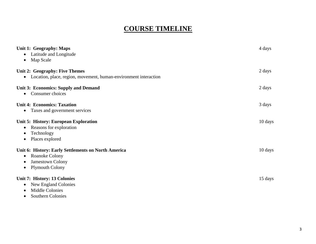#### **COURSE TIMELINE**

| Unit 1: Geography: Maps<br>Latitude and Longitude<br>$\bullet$<br>Map Scale<br>$\bullet$                                                                   | 4 days  |
|------------------------------------------------------------------------------------------------------------------------------------------------------------|---------|
| Unit 2: Geography: Five Themes<br>Location, place, region, movement, human-environment interaction<br>$\bullet$                                            | 2 days  |
| <b>Unit 3: Economics: Supply and Demand</b><br>Consumer choices<br>$\bullet$                                                                               | 2 days  |
| <b>Unit 4: Economics: Taxation</b><br>Taxes and government services<br>$\bullet$                                                                           | 3 days  |
| Unit 5: History: European Exploration<br>Reasons for exploration<br>$\bullet$<br>Technology<br>$\bullet$<br>Places explored<br>$\bullet$                   | 10 days |
| Unit 6: History: Early Settlements on North America<br>Roanoke Colony<br>$\bullet$<br>Jamestown Colony<br>$\bullet$<br><b>Plymouth Colony</b><br>$\bullet$ | 10 days |
| Unit 7: History: 13 Colonies<br>New England Colonies<br>Middle Colonies<br>$\bullet$                                                                       | 15 days |

• Southern Colonies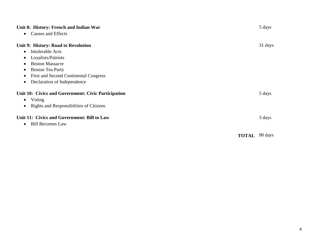| Unit 8: History: French and Indian War                    | 5 days  |
|-----------------------------------------------------------|---------|
| Causes and Effects<br>$\bullet$                           |         |
| Unit 9: History: Road to Revolution                       | 31 days |
| Intolerable Acts<br>$\bullet$                             |         |
| Loyalists/Patriots<br>$\bullet$                           |         |
| <b>Boston Massacre</b><br>$\bullet$                       |         |
| <b>Boston Tea Party</b><br>$\bullet$                      |         |
| <b>First and Second Continental Congress</b><br>$\bullet$ |         |
| Declaration of Independence<br>$\bullet$                  |         |
| Unit 10: Civics and Government: Civic Participation       | 5 days  |
| $\bullet$ Voting                                          |         |
| Rights and Responsibilities of Citizens                   |         |
| Unit 11: Civics and Government: Bill to Law               | 3 days  |
| <b>Bill Becomes Law</b><br>$\bullet$                      |         |
| <b>TOTAL</b>                                              | 90 days |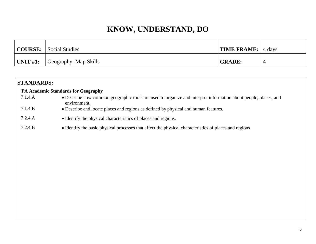|              | <b>COURSE:</b> Social Studies | <b>TIME FRAME:</b> 4 days |  |
|--------------|-------------------------------|---------------------------|--|
| UNIT $\#1$ : | Geography: Map Skills         | <b>GRADE:</b>             |  |

| <b>STANDARDS:</b> |                                                                                                                                 |
|-------------------|---------------------------------------------------------------------------------------------------------------------------------|
|                   | <b>PA Academic Standards for Geography</b>                                                                                      |
| 7.1.4.A           | • Describe how common geographic tools are used to organize and interpret information about people, places, and<br>environment. |
| 7.1.4.B           | • Describe and locate places and regions as defined by physical and human features.                                             |
| 7.2.4.A           | • Identify the physical characteristics of places and regions.                                                                  |
| 7.2.4.B           | • Identify the basic physical processes that affect the physical characteristics of places and regions.                         |
|                   |                                                                                                                                 |
|                   |                                                                                                                                 |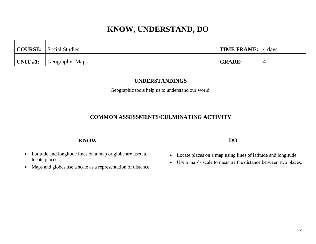|                  | COURSE: Social Studies | <b>TIME FRAME:</b> $ $ 4 days |  |
|------------------|------------------------|-------------------------------|--|
| $\vert$ UNIT #1: | Geography: Maps        | <b>GRADE:</b>                 |  |

| <b>UNDERSTANDINGS</b>                                                                                                                                                  |                                                                                                                                |  |  |  |
|------------------------------------------------------------------------------------------------------------------------------------------------------------------------|--------------------------------------------------------------------------------------------------------------------------------|--|--|--|
|                                                                                                                                                                        | Geographic tools help us to understand our world.                                                                              |  |  |  |
|                                                                                                                                                                        |                                                                                                                                |  |  |  |
|                                                                                                                                                                        | <b>COMMON ASSESSMENTS/CULMINATING ACTIVITY</b>                                                                                 |  |  |  |
|                                                                                                                                                                        |                                                                                                                                |  |  |  |
| <b>KNOW</b>                                                                                                                                                            | DO                                                                                                                             |  |  |  |
| Latitude and longitude lines on a map or globe are used to<br>$\bullet$<br>locate places.<br>Maps and globes use a scale as a representation of distance.<br>$\bullet$ | Locate places on a map using lines of latitude and longitude.<br>Use a map's scale to measure the distance between two places. |  |  |  |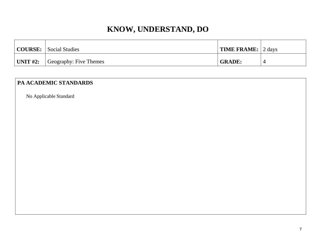|             | COURSE: Social Studies | <b>TIME FRAME:</b> 2 days |  |
|-------------|------------------------|---------------------------|--|
| UNIT $#2$ : | Geography: Five Themes | <b>GRADE:</b>             |  |

#### **PA ACADEMIC STANDARDS**

No Applicable Standard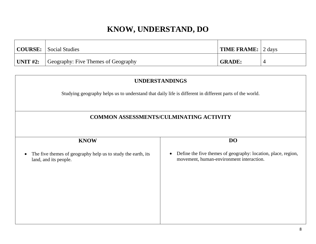|                 | <b>COURSE:</b> Social Studies       | TIME FRAME: 2 days |  |
|-----------------|-------------------------------------|--------------------|--|
| $\mid$ UNIT #2: | Geography: Five Themes of Geography | <b>GRADE:</b>      |  |

| <b>UNDERSTANDINGS</b>                                                                                   |                                                                                                           |  |  |
|---------------------------------------------------------------------------------------------------------|-----------------------------------------------------------------------------------------------------------|--|--|
| Studying geography helps us to understand that daily life is different in different parts of the world. |                                                                                                           |  |  |
| <b>COMMON ASSESSMENTS/CULMINATING ACTIVITY</b>                                                          |                                                                                                           |  |  |
| <b>KNOW</b>                                                                                             | <b>DO</b>                                                                                                 |  |  |
| The five themes of geography help us to study the earth, its<br>$\bullet$<br>land, and its people.      | Define the five themes of geography: location, place, region,<br>movement, human-environment interaction. |  |  |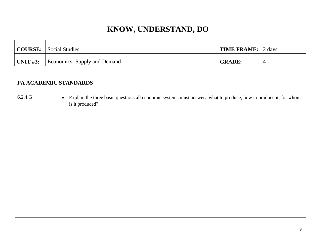| <b>COURSE:</b> Social Studies                | <b>TIME FRAME:</b> 2 days |  |
|----------------------------------------------|---------------------------|--|
| <b>UNIT #3:</b> Economics: Supply and Demand | <b>GRADE:</b>             |  |

#### **PA ACADEMIC STANDARDS**

6.2.4.G Explain the three basic questions all economic systems must answer: what to produce; how to produce it; for whom is it produced?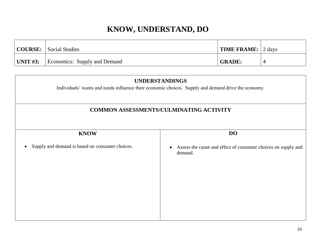| <b>COURSE:</b> Social Studies                | <b>TIME FRAME:</b> 2 days |  |
|----------------------------------------------|---------------------------|--|
| <b>UNIT #3:</b> Economics: Supply and Demand | <b>GRADE:</b>             |  |

| <b>UNDERSTANDINGS</b><br>Individuals' wants and needs influence their economic choices. Supply and demand drive the economy.<br><b>COMMON ASSESSMENTS/CULMINATING ACTIVITY</b> |                                                                                       |  |                          |  |
|--------------------------------------------------------------------------------------------------------------------------------------------------------------------------------|---------------------------------------------------------------------------------------|--|--------------------------|--|
|                                                                                                                                                                                |                                                                                       |  | <b>DO</b><br><b>KNOW</b> |  |
| Supply and demand is based on consumer choices.                                                                                                                                | Assess the cause and effect of consumer choices on supply and<br>$\bullet$<br>demand. |  |                          |  |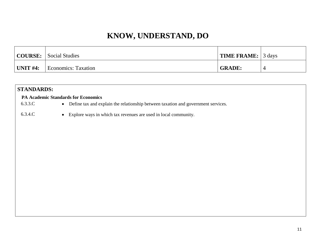|                  | <b>COURSE:</b> Social Studies | <b>TIME FRAME:</b> 3 days |  |
|------------------|-------------------------------|---------------------------|--|
| $\vert$ UNIT #4: | <b>Economics:</b> Taxation    | <b>GRADE:</b>             |  |

| <b>STANDARDS:</b> |                                                                                     |  |
|-------------------|-------------------------------------------------------------------------------------|--|
|                   | <b>PA Academic Standards for Economics</b>                                          |  |
| 6.3.3.C           | • Define tax and explain the relationship between taxation and government services. |  |
| 6.3.4.C           | • Explore ways in which tax revenues are used in local community.                   |  |
|                   |                                                                                     |  |
|                   |                                                                                     |  |
|                   |                                                                                     |  |
|                   |                                                                                     |  |
|                   |                                                                                     |  |
|                   |                                                                                     |  |
|                   |                                                                                     |  |
|                   |                                                                                     |  |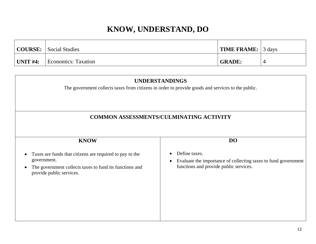|             | <b>COURSE:</b> Social Studies | <b>TIME FRAME:</b> 3 days |  |
|-------------|-------------------------------|---------------------------|--|
| UNIT $#4$ : | Economics: Taxation           | <b>GRADE:</b>             |  |

| <b>UNDERSTANDINGS</b><br>The government collects taxes from citizens in order to provide goods and services to the public.                                                               |                                                                                                                           |  |  |
|------------------------------------------------------------------------------------------------------------------------------------------------------------------------------------------|---------------------------------------------------------------------------------------------------------------------------|--|--|
| <b>COMMON ASSESSMENTS/CULMINATING ACTIVITY</b>                                                                                                                                           |                                                                                                                           |  |  |
| <b>KNOW</b>                                                                                                                                                                              | <b>DO</b>                                                                                                                 |  |  |
| Taxes are funds that citizens are required to pay to the<br>$\bullet$<br>government.<br>The government collects taxes to fund its functions and<br>$\bullet$<br>provide public services. | Define taxes.<br>Evaluate the importance of collecting taxes to fund government<br>functions and provide public services. |  |  |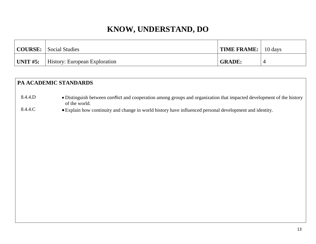|          | <b>COURSE:</b> Social Studies | <b>TIME FRAME:</b> 10 days |  |
|----------|-------------------------------|----------------------------|--|
| UNIT #5: | History: European Exploration | <b>GRADE:</b>              |  |

#### **PA ACADEMIC STANDARDS**

- 8.4.4.D Distinguish between conflict and cooperation among groups and organization that impacted development of the history of the world.
- 8.4.4.C Explain how continuity and change in world history have influenced personal development and identity.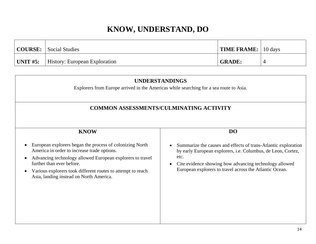|                  | <b>COURSE:</b> Social Studies        | $\vert$ TIME FRAME: $\vert$ 10 days |  |
|------------------|--------------------------------------|-------------------------------------|--|
| $\vert$ UNIT #5: | <b>History: European Exploration</b> | <b>GRADE:</b>                       |  |

| <b>UNDERSTANDINGS</b><br>Explorers from Europe arrived in the Americas while searching for a sea route to Asia.<br><b>COMMON ASSESSMENTS/CULMINATING ACTIVITY</b> |  |  |  |
|-------------------------------------------------------------------------------------------------------------------------------------------------------------------|--|--|--|
|                                                                                                                                                                   |  |  |  |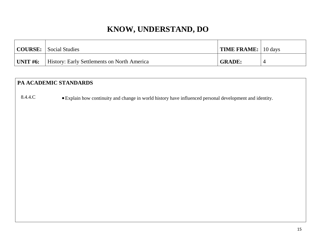| <b>COURSE:</b> | Social Studies                                     | <b>TIME FRAME:</b> 10 days |  |
|----------------|----------------------------------------------------|----------------------------|--|
| UNIT $#6$ :    | <b>History: Early Settlements on North America</b> | <b>GRADE:</b>              |  |

#### **PA ACADEMIC STANDARDS**

8.4.4.C • Explain how continuity and change in world history have influenced personal development and identity.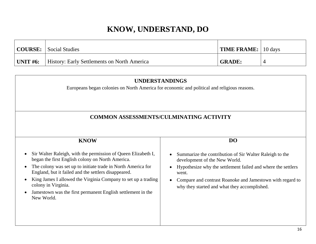|          | <b>COURSE:</b> Social Studies               | <b>TIME FRAME:</b> 10 days |  |
|----------|---------------------------------------------|----------------------------|--|
| UNIT #6: | History: Early Settlements on North America | <b>GRADE:</b>              |  |

| <b>UNDERSTANDINGS</b><br>Europeans began colonies on North America for economic and political and religious reasons.                                                                                                                                                                                                                                                                                                        |                                                                                                                                                                                                                                                                                |  |  |
|-----------------------------------------------------------------------------------------------------------------------------------------------------------------------------------------------------------------------------------------------------------------------------------------------------------------------------------------------------------------------------------------------------------------------------|--------------------------------------------------------------------------------------------------------------------------------------------------------------------------------------------------------------------------------------------------------------------------------|--|--|
| <b>COMMON ASSESSMENTS/CULMINATING ACTIVITY</b>                                                                                                                                                                                                                                                                                                                                                                              |                                                                                                                                                                                                                                                                                |  |  |
| <b>KNOW</b>                                                                                                                                                                                                                                                                                                                                                                                                                 | DO                                                                                                                                                                                                                                                                             |  |  |
| Sir Walter Raleigh, with the permission of Queen Elizabeth I,<br>$\bullet$<br>began the first English colony on North America.<br>The colony was set up to initiate trade in North America for<br>England, but it failed and the settlers disappeared.<br>King James I allowed the Virginia Company to set up a trading<br>colony in Virginia.<br>Jamestown was the first permanent English settlement in the<br>New World. | Summarize the contribution of Sir Walter Raleigh to the<br>development of the New World.<br>Hypothesize why the settlement failed and where the settlers<br>went.<br>Compare and contrast Roanoke and Jamestown with regard to<br>why they started and what they accomplished. |  |  |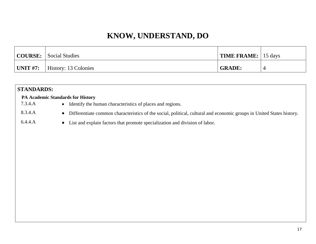|                 | COURSE: Social Studies | TIME FRAME: 15 days |  |
|-----------------|------------------------|---------------------|--|
| $\mid$ UNIT #7: | History: 13 Colonies   | <b>GRADE:</b>       |  |

| <b>STANDARDS:</b> |                                                                                                                                    |
|-------------------|------------------------------------------------------------------------------------------------------------------------------------|
|                   | <b>PA Academic Standards for History</b>                                                                                           |
| 7.3.4.A           | • Identify the human characteristics of places and regions.                                                                        |
| 8.3.4.A           | Differentiate common characteristics of the social, political, cultural and economic groups in United States history.<br>$\bullet$ |
| 6.4.4.A           | • List and explain factors that promote specialization and division of labor.                                                      |
|                   |                                                                                                                                    |
|                   |                                                                                                                                    |
|                   |                                                                                                                                    |
|                   |                                                                                                                                    |
|                   |                                                                                                                                    |
|                   |                                                                                                                                    |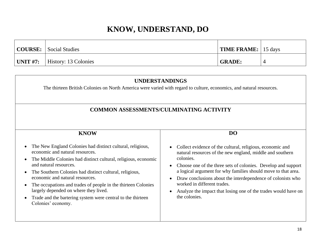|                 | COURSE: Social Studies | $\vert$ TIME FRAME: $\vert$ 15 days |  |
|-----------------|------------------------|-------------------------------------|--|
| $\mid$ UNIT #7: | History: 13 Colonies   | <b>GRADE:</b>                       |  |

| <b>UNDERSTANDINGS</b><br>The thirteen British Colonies on North America were varied with regard to culture, economics, and natural resources.<br><b>COMMON ASSESSMENTS/CULMINATING ACTIVITY</b>                                                                                                                                                                                                                                                                                                                                              |                                                                                                                                                                                                                                                                                                                                                                                                                                                                                       |  |  |  |
|----------------------------------------------------------------------------------------------------------------------------------------------------------------------------------------------------------------------------------------------------------------------------------------------------------------------------------------------------------------------------------------------------------------------------------------------------------------------------------------------------------------------------------------------|---------------------------------------------------------------------------------------------------------------------------------------------------------------------------------------------------------------------------------------------------------------------------------------------------------------------------------------------------------------------------------------------------------------------------------------------------------------------------------------|--|--|--|
| <b>KNOW</b><br>The New England Colonies had distinct cultural, religious,<br>economic and natural resources.<br>The Middle Colonies had distinct cultural, religious, economic<br>$\bullet$<br>and natural resources.<br>The Southern Colonies had distinct cultural, religious,<br>$\bullet$<br>economic and natural resources.<br>The occupations and trades of people in the thirteen Colonies<br>$\bullet$<br>largely depended on where they lived.<br>Trade and the bartering system were central to the thirteen<br>Colonies' economy. | D <sub>O</sub><br>Collect evidence of the cultural, religious, economic and<br>natural resources of the new england, middle and southern<br>colonies.<br>Choose one of the three sets of colonies. Develop and support<br>a logical argument for why families should move to that area.<br>Draw conclusions about the interdependence of colonists who<br>$\bullet$<br>worked in different trades.<br>Analyze the impact that losing one of the trades would have on<br>the colonies. |  |  |  |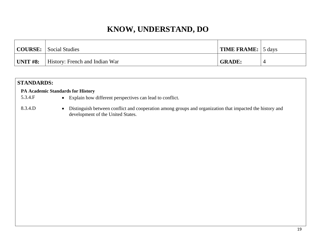|          | <b>COURSE:</b> Social Studies         | <b>TIME FRAME:</b> 5 days |  |
|----------|---------------------------------------|---------------------------|--|
| UNIT #8: | <b>History: French and Indian War</b> | <b>GRADE:</b>             |  |

| <b>STANDARDS:</b>                        |                                                                                                                                                            |
|------------------------------------------|------------------------------------------------------------------------------------------------------------------------------------------------------------|
| <b>PA Academic Standards for History</b> |                                                                                                                                                            |
| 5.3.4.F                                  | • Explain how different perspectives can lead to conflict.                                                                                                 |
| 8.3.4.D                                  | Distinguish between conflict and cooperation among groups and organization that impacted the history and<br>$\bullet$<br>development of the United States. |
|                                          |                                                                                                                                                            |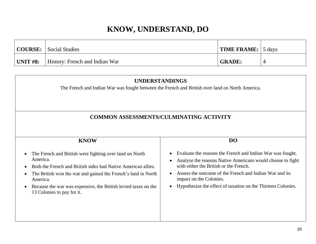|          | <b>COURSE:</b> Social Studies         | <b>TIME FRAME:</b> 5 days |  |
|----------|---------------------------------------|---------------------------|--|
| UNIT #8: | <b>History: French and Indian War</b> | <b>GRADE:</b>             |  |

| <b>UNDERSTANDINGS</b><br>The French and Indian War was fought between the French and British over land on North America.                                                                                                                                                                                                       |                                                                                                                                                                                                                                                                                                                          |  |  |  |
|--------------------------------------------------------------------------------------------------------------------------------------------------------------------------------------------------------------------------------------------------------------------------------------------------------------------------------|--------------------------------------------------------------------------------------------------------------------------------------------------------------------------------------------------------------------------------------------------------------------------------------------------------------------------|--|--|--|
| <b>COMMON ASSESSMENTS/CULMINATING ACTIVITY</b>                                                                                                                                                                                                                                                                                 |                                                                                                                                                                                                                                                                                                                          |  |  |  |
| <b>KNOW</b>                                                                                                                                                                                                                                                                                                                    | <b>DO</b>                                                                                                                                                                                                                                                                                                                |  |  |  |
| The French and British were fighting over land on North<br>America.<br>Both the French and British sides had Native American allies.<br>The British won the war and gained the French's land in North<br>America.<br>Because the war was expensive, the British levied taxes on the<br>$\bullet$<br>13 Colonies to pay for it. | Evaluate the reasons the French and Indian War was fought.<br>Analyze the reasons Native Americans would choose to fight<br>with either the British or the French.<br>Assess the outcome of the French and Indian War and its<br>impact on the Colonies.<br>Hypothesize the effect of taxation on the Thirteen Colonies. |  |  |  |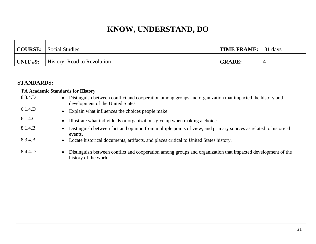|          | COURSE: Social Studies             | TIME FRAME: 31 days |  |
|----------|------------------------------------|---------------------|--|
| UNIT #9: | <b>History: Road to Revolution</b> | <b>GRADE:</b>       |  |

| <b>STANDARDS:</b>                        |                                                                                                                                               |
|------------------------------------------|-----------------------------------------------------------------------------------------------------------------------------------------------|
| <b>PA Academic Standards for History</b> |                                                                                                                                               |
| 8.3.4.D                                  | Distinguish between conflict and cooperation among groups and organization that impacted the history and<br>development of the United States. |
| 6.1.4.D                                  | Explain what influences the choices people make.                                                                                              |
| 6.1.4.C                                  | Illustrate what individuals or organizations give up when making a choice.                                                                    |
| 8.1.4.B                                  | Distinguish between fact and opinion from multiple points of view, and primary sources as related to historical<br>events.                    |
| 8.3.4.B                                  | Locate historical documents, artifacts, and places critical to United States history.                                                         |
| 8.4.4.D                                  | Distinguish between conflict and cooperation among groups and organization that impacted development of the<br>history of the world.          |
|                                          |                                                                                                                                               |
|                                          |                                                                                                                                               |
|                                          |                                                                                                                                               |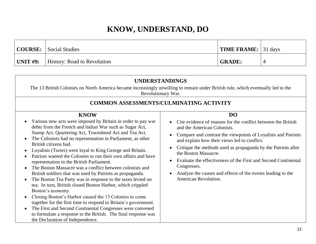|          | <b>COURSE:</b> Social Studies      | <b>TIME FRAME:</b> $31 \text{ days}$ |  |
|----------|------------------------------------|--------------------------------------|--|
| UNIT #9: | <b>History: Road to Revolution</b> | <b>GRADE:</b>                        |  |

|                                                                                                                                                                                                                                                                                                                                                                                                                                                                                                                                                                                                                                                                                                                                                                                                                                                                                                                                                                                                                                                | <b>UNDERSTANDINGS</b><br>The 13 British Colonies on North America became increasingly unwilling to remain under British rule, which eventually led to the                                                                                                                                                                                                                                                                                                                                                |
|------------------------------------------------------------------------------------------------------------------------------------------------------------------------------------------------------------------------------------------------------------------------------------------------------------------------------------------------------------------------------------------------------------------------------------------------------------------------------------------------------------------------------------------------------------------------------------------------------------------------------------------------------------------------------------------------------------------------------------------------------------------------------------------------------------------------------------------------------------------------------------------------------------------------------------------------------------------------------------------------------------------------------------------------|----------------------------------------------------------------------------------------------------------------------------------------------------------------------------------------------------------------------------------------------------------------------------------------------------------------------------------------------------------------------------------------------------------------------------------------------------------------------------------------------------------|
|                                                                                                                                                                                                                                                                                                                                                                                                                                                                                                                                                                                                                                                                                                                                                                                                                                                                                                                                                                                                                                                | Revolutionary War.                                                                                                                                                                                                                                                                                                                                                                                                                                                                                       |
|                                                                                                                                                                                                                                                                                                                                                                                                                                                                                                                                                                                                                                                                                                                                                                                                                                                                                                                                                                                                                                                | <b>COMMON ASSESSMENTS/CULMINATING ACTIVITY</b>                                                                                                                                                                                                                                                                                                                                                                                                                                                           |
| <b>KNOW</b><br>Various new acts were imposed by Britain in order to pay war<br>debts from the French and Indian War such as Sugar Act,<br>Stamp Act, Quartering Act, Townshend Act and Tea Act.<br>The Colonists had no representation in Parliament, as other<br>British citizens had.<br>Loyalists (Tories) were loyal to King George and Britain.<br>Patriots wanted the Colonies to run their own affairs and have<br>representation in the British Parliament.<br>The Boston Massacre was a conflict between colonists and<br>British soldiers that was used by Patriots as propaganda.<br>The Boston Tea Party was in response to the taxes levied on<br>tea. In turn, British closed Boston Harbor, which crippled<br>Boston's economy.<br>Closing Boston's Harbor caused the 13 Colonies to come<br>together for the first time to respond to Britain's government.<br>The First and Second Continental Congresses were convened<br>to formulate a response to the British. The final response was<br>the Declaration of Independence. | <b>DO</b><br>Cite evidence of reasons for the conflict between the British<br>and the American Colonists.<br>Compare and contrast the viewpoints of Loyalists and Patriots<br>and explain how their views led to conflict.<br>Critique the methods used as propaganda by the Patriots after<br>the Boston Massacre.<br>Evaluate the effectiveness of the First and Second Continental<br>$\bullet$<br>Congresses.<br>Analyze the causes and effects of the events leading to the<br>American Revolution. |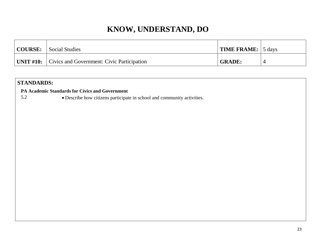| COURSE: | <b>Social Studies</b>                                       | <b>TIME FRAME:</b> 5 days |  |
|---------|-------------------------------------------------------------|---------------------------|--|
|         | <b>UNIT #10:</b> Civics and Government: Civic Participation | <b>GRADE:</b>             |  |

#### **STANDARDS:**

 **PA Academic Standards for Civics and Government**

5.2 Describe how citizens participate in school and community activities.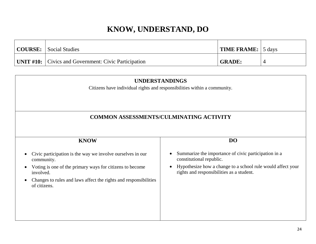| COURSE: Social Studies                                      | TIME FRAME: 5 days |  |
|-------------------------------------------------------------|--------------------|--|
| <b>UNIT #10:</b> Civics and Government: Civic Participation | <b>GRADE:</b>      |  |

| <b>UNDERSTANDINGS</b><br>Citizens have individual rights and responsibilities within a community.<br><b>COMMON ASSESSMENTS/CULMINATING ACTIVITY</b>                                                                                   |                                                                                                                                                                                              |  |  |  |  |
|---------------------------------------------------------------------------------------------------------------------------------------------------------------------------------------------------------------------------------------|----------------------------------------------------------------------------------------------------------------------------------------------------------------------------------------------|--|--|--|--|
|                                                                                                                                                                                                                                       |                                                                                                                                                                                              |  |  |  |  |
| Civic participation is the way we involve ourselves in our<br>community.<br>Voting is one of the primary ways for citizens to become<br>involved.<br>Changes to rules and laws affect the rights and responsibilities<br>of citizens. | Summarize the importance of civic participation in a<br>constitutional republic.<br>Hypothesize how a change to a school rule would affect your<br>rights and responsibilities as a student. |  |  |  |  |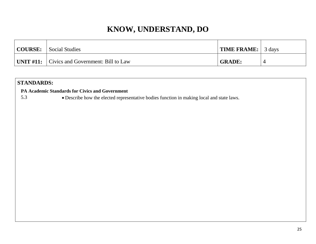| COURSE: | <b>Social Studies</b>                              | <b>TIME FRAME:</b> | 3 days |
|---------|----------------------------------------------------|--------------------|--------|
|         | UNIT $\#11$ :   Civics and Government: Bill to Law | <b>GRADE:</b>      |        |

#### **STANDARDS:**

 **PA Academic Standards for Civics and Government**

5.3 Describe how the elected representative bodies function in making local and state laws.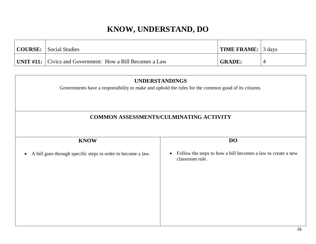| <b>COURSE:</b> Social Studies                                    | TIME FRAME: 3 days |  |
|------------------------------------------------------------------|--------------------|--|
| <b>UNIT #11:</b> Civics and Government: How a Bill Becomes a Law | <b>GRADE:</b>      |  |